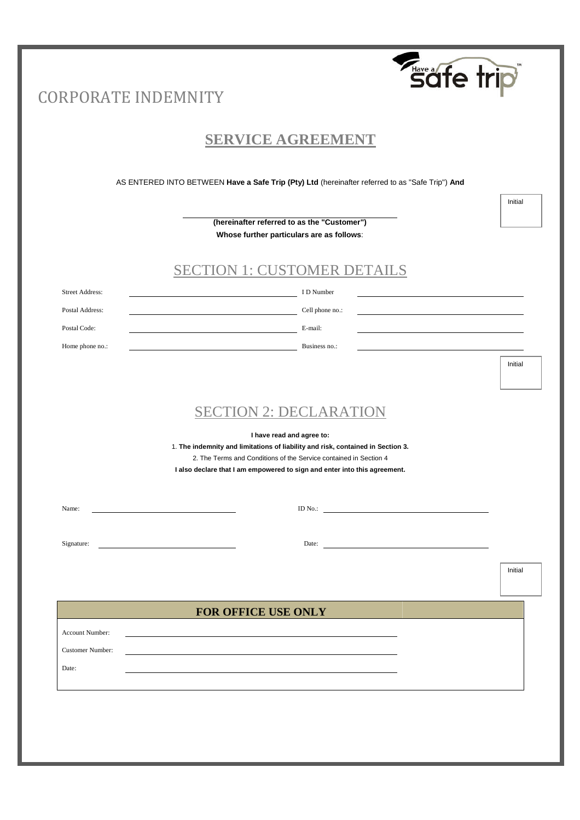|                            | säfe trip                                                                                                                                            |         |
|----------------------------|------------------------------------------------------------------------------------------------------------------------------------------------------|---------|
| <b>CORPORATE INDEMNITY</b> |                                                                                                                                                      |         |
|                            |                                                                                                                                                      |         |
|                            | <b>SERVICE AGREEMENT</b>                                                                                                                             |         |
|                            | AS ENTERED INTO BETWEEN Have a Safe Trip (Pty) Ltd (hereinafter referred to as "Safe Trip") And                                                      |         |
|                            |                                                                                                                                                      | Initial |
|                            | (hereinafter referred to as the "Customer")<br>Whose further particulars are as follows:                                                             |         |
|                            |                                                                                                                                                      |         |
|                            | <b>SECTION 1: CUSTOMER DETAILS</b>                                                                                                                   |         |
| <b>Street Address:</b>     | I D Number                                                                                                                                           |         |
| Postal Address:            | Cell phone no.:                                                                                                                                      |         |
| Postal Code:               | E-mail:                                                                                                                                              |         |
| Home phone no.:            | Business no.:                                                                                                                                        |         |
|                            |                                                                                                                                                      | Initial |
|                            |                                                                                                                                                      |         |
|                            | <b>SECTION 2: DECLARATION</b>                                                                                                                        |         |
|                            | I have read and agree to:                                                                                                                            |         |
|                            | 1. The indemnity and limitations of liability and risk, contained in Section 3.<br>2. The Terms and Conditions of the Service contained in Section 4 |         |
|                            | I also declare that I am empowered to sign and enter into this agreement.                                                                            |         |
|                            |                                                                                                                                                      |         |
| Name:                      | ID No.:                                                                                                                                              |         |
| Signature:                 | Date:                                                                                                                                                |         |
|                            |                                                                                                                                                      |         |
|                            |                                                                                                                                                      | Initial |
|                            | FOR OFFICE USE ONLY                                                                                                                                  |         |
| Account Number:            |                                                                                                                                                      |         |
| <b>Customer Number:</b>    |                                                                                                                                                      |         |
| Date:                      |                                                                                                                                                      |         |
|                            |                                                                                                                                                      |         |
|                            |                                                                                                                                                      |         |
|                            |                                                                                                                                                      |         |
|                            |                                                                                                                                                      |         |
|                            |                                                                                                                                                      |         |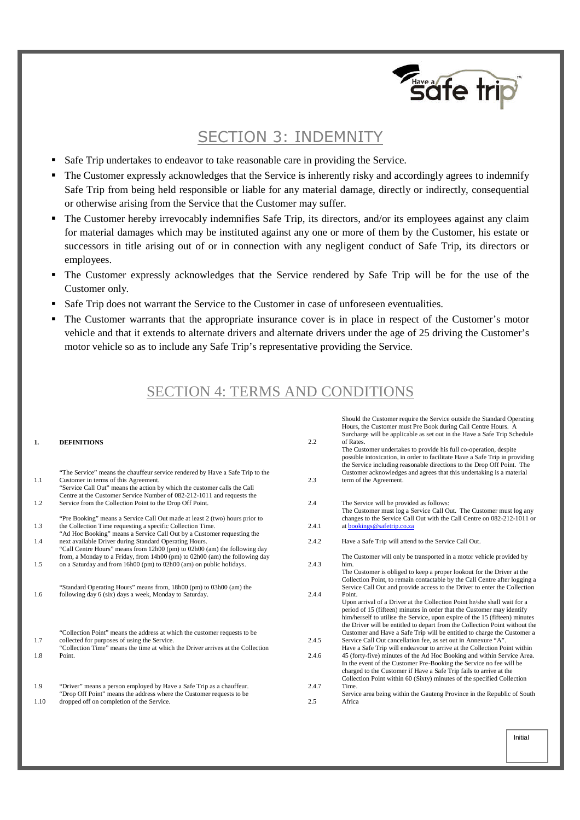

# SECTION 3: INDEMNITY

- Safe Trip undertakes to endeavor to take reasonable care in providing the Service.
- The Customer expressly acknowledges that the Service is inherently risky and accordingly agrees to indemnify Safe Trip from being held responsible or liable for any material damage, directly or indirectly, consequential or otherwise arising from the Service that the Customer may suffer.
- The Customer hereby irrevocably indemnifies Safe Trip, its directors, and/or its employees against any claim for material damages which may be instituted against any one or more of them by the Customer, his estate or successors in title arising out of or in connection with any negligent conduct of Safe Trip, its directors or employees.
- The Customer expressly acknowledges that the Service rendered by Safe Trip will be for the use of the Customer only.
- Safe Trip does not warrant the Service to the Customer in case of unforeseen eventualities.
- The Customer warrants that the appropriate insurance cover is in place in respect of the Customer's motor vehicle and that it extends to alternate drivers and alternate drivers under the age of 25 driving the Customer's motor vehicle so as to include any Safe Trip's representative providing the Service.

# SECTION 4: TERMS AND CONDITIONS

| 1.   | <b>DEFINITIONS</b>                                                                                                                                 | 2.2   | Should the Customer require the Service outside the Standard Operating<br>Hours, the Customer must Pre Book during Call Centre Hours. A<br>Surcharge will be applicable as set out in the Have a Safe Trip Schedule<br>of Rates.<br>The Customer undertakes to provide his full co-operation, despite<br>possible intoxication, in order to facilitate Have a Safe Trip in providing<br>the Service including reasonable directions to the Drop Off Point. The |
|------|----------------------------------------------------------------------------------------------------------------------------------------------------|-------|----------------------------------------------------------------------------------------------------------------------------------------------------------------------------------------------------------------------------------------------------------------------------------------------------------------------------------------------------------------------------------------------------------------------------------------------------------------|
|      | "The Service" means the chauffeur service rendered by Have a Safe Trip to the                                                                      |       | Customer acknowledges and agrees that this undertaking is a material                                                                                                                                                                                                                                                                                                                                                                                           |
| 1.1  | Customer in terms of this Agreement.                                                                                                               | 2.3   | term of the Agreement.                                                                                                                                                                                                                                                                                                                                                                                                                                         |
|      | "Service Call Out" means the action by which the customer calls the Call<br>Centre at the Customer Service Number of 082-212-1011 and requests the |       |                                                                                                                                                                                                                                                                                                                                                                                                                                                                |
| 1.2  | Service from the Collection Point to the Drop Off Point.                                                                                           | 2.4   | The Service will be provided as follows:                                                                                                                                                                                                                                                                                                                                                                                                                       |
|      |                                                                                                                                                    |       | The Customer must log a Service Call Out. The Customer must log any                                                                                                                                                                                                                                                                                                                                                                                            |
|      | "Pre Booking" means a Service Call Out made at least 2 (two) hours prior to                                                                        |       | changes to the Service Call Out with the Call Centre on 082-212-1011 or                                                                                                                                                                                                                                                                                                                                                                                        |
| 1.3  | the Collection Time requesting a specific Collection Time.                                                                                         | 2.4.1 | at bookings@safetrip.co.za                                                                                                                                                                                                                                                                                                                                                                                                                                     |
|      | "Ad Hoc Booking" means a Service Call Out by a Customer requesting the                                                                             |       |                                                                                                                                                                                                                                                                                                                                                                                                                                                                |
| 1.4  | next available Driver during Standard Operating Hours.                                                                                             | 2.4.2 | Have a Safe Trip will attend to the Service Call Out.                                                                                                                                                                                                                                                                                                                                                                                                          |
|      | "Call Centre Hours" means from 12h00 (pm) to 02h00 (am) the following day                                                                          |       |                                                                                                                                                                                                                                                                                                                                                                                                                                                                |
|      | from, a Monday to a Friday, from 14h00 (pm) to 02h00 (am) the following day                                                                        |       | The Customer will only be transported in a motor vehicle provided by                                                                                                                                                                                                                                                                                                                                                                                           |
| 1.5  | on a Saturday and from 16h00 (pm) to 02h00 (am) on public holidays.                                                                                | 2.4.3 | him.                                                                                                                                                                                                                                                                                                                                                                                                                                                           |
| 1.6  | "Standard Operating Hours" means from, 18h00 (pm) to 03h00 (am) the<br>following day 6 (six) days a week, Monday to Saturday.                      | 2.4.4 | The Customer is obliged to keep a proper lookout for the Driver at the<br>Collection Point, to remain contactable by the Call Centre after logging a<br>Service Call Out and provide access to the Driver to enter the Collection<br>Point.                                                                                                                                                                                                                    |
|      | "Collection Point" means the address at which the customer requests to be                                                                          |       | Upon arrival of a Driver at the Collection Point he/she shall wait for a<br>period of 15 (fifteen) minutes in order that the Customer may identify<br>him/herself to utilise the Service, upon expire of the 15 (fifteen) minutes<br>the Driver will be entitled to depart from the Collection Point without the<br>Customer and Have a Safe Trip will be entitled to charge the Customer a                                                                    |
| 1.7  | collected for purposes of using the Service.                                                                                                       | 2.4.5 | Service Call Out cancellation fee, as set out in Annexure "A".                                                                                                                                                                                                                                                                                                                                                                                                 |
|      | "Collection Time" means the time at which the Driver arrives at the Collection                                                                     |       | Have a Safe Trip will endeavour to arrive at the Collection Point within                                                                                                                                                                                                                                                                                                                                                                                       |
| 1.8  | Point.                                                                                                                                             | 2.4.6 | 45 (forty-five) minutes of the Ad Hoc Booking and within Service Area.<br>In the event of the Customer Pre-Booking the Service no fee will be<br>charged to the Customer if Have a Safe Trip fails to arrive at the<br>Collection Point within 60 (Sixty) minutes of the specified Collection                                                                                                                                                                  |
| 1.9  | "Driver" means a person employed by Have a Safe Trip as a chauffeur.                                                                               | 2.4.7 | Time.                                                                                                                                                                                                                                                                                                                                                                                                                                                          |
|      | "Drop Off Point" means the address where the Customer requests to be                                                                               |       | Service area being within the Gauteng Province in the Republic of South                                                                                                                                                                                                                                                                                                                                                                                        |
| 1.10 | dropped off on completion of the Service.                                                                                                          | 2.5   | Africa                                                                                                                                                                                                                                                                                                                                                                                                                                                         |
|      |                                                                                                                                                    |       |                                                                                                                                                                                                                                                                                                                                                                                                                                                                |